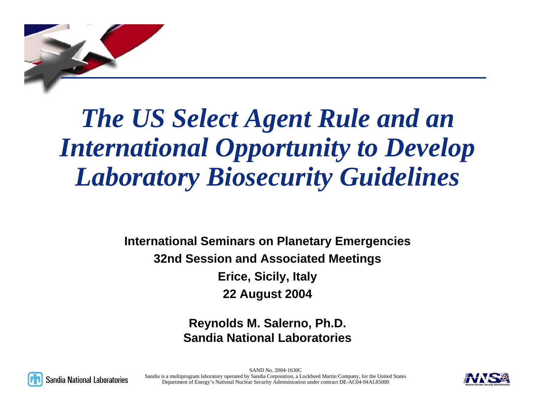

# *The US Select Agent Rule and an International Opportunity to Develop Laboratory Biosecurity Guidelines*

**International Seminars on Planetary Emergencies 32nd Session and Associated Meetings Erice, Sicily, Italy 22 August 2004**

> **Reynolds M. Salerno, Ph.D. Sandia National Laboratories**



SAND No. 2004-1630CSandia is a multiprogram laboratory operated by Sandia Corporation, a Lockheed Martin Company, for the United States Department of Energy's National Nuclear Security Administration under contract DE-AC04-94AL85000

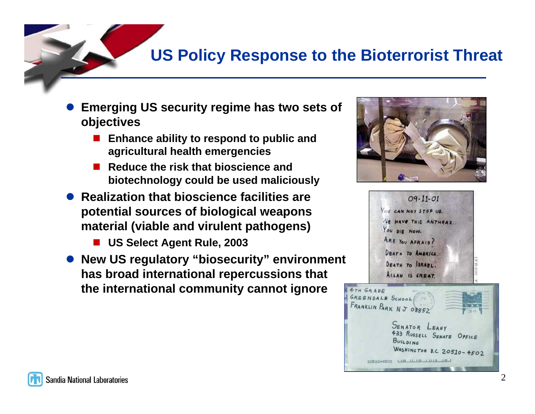### **US Policy Response to the Bioterrorist Threat**

- $\bullet$  **Emerging US security regime has two sets of objectives**
	- Enhance ability to respond to public and **agricultural health emergencies**
	- Reduce the risk that bioscience and **biotechnology could be used maliciously**
- **Realization that bioscience facilities are potential sources of biological weapons material (viable and virulent pathogens)** 
	- **US Select Agent Rule, 2003**
- z **New US regulatory "biosecurity" environment has broad international repercussions that the international community cannot ignore**



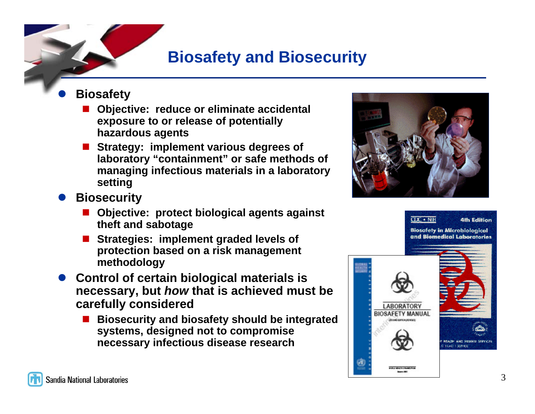### **Biosafety and Biosecurity**

- $\bullet$  **Biosafety**
	- $\overline{\phantom{a}}$  **Objective: reduce or eliminate accidental exposure to or release of potentially hazardous agents**
	- $\overline{\phantom{a}}$  **Strategy: implement various degrees of laboratory "containment" or safe methods of managing infectious materials in a laboratory setting**
- $\bullet$  **Biosecurity**
	- L. **Objective: protect biological agents against theft and sabotage**
	- L. **Strategies: implement graded levels of protection based on a risk management methodology**
- **Control of certain biological materials is necessary, but** *how* **that is achieved must be carefully considered** 
	- L. **Biosecurity and biosafety should be integrated systems, designed not to compromise necessary infectious disease research**



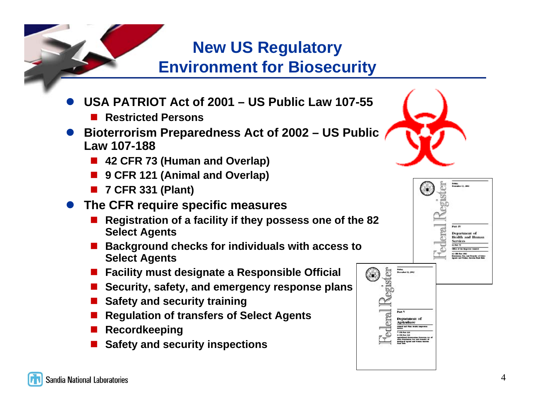### **New US Regulatory Environment for Biosecurity**

- $\bullet$  **USA PATRIOT Act of 2001 – US Public Law 107-55**
	- $\overline{\phantom{a}}$ **Restricted Persons**
- $\bullet$  **Bioterrorism Preparedness Act of 2002 – US Public Law 107-188**
	- **42 CFR 73 (Human and Overlap)**
	- $\overline{\phantom{a}}$ **9 CFR 121 (Animal and Overlap)**
	- **7 CFR 331 (Plant)**
- **The CFR require specific measures** 
	- $\overline{\phantom{a}}$  **Registration of a facility if they possess one of the 82 Select Agents**
	- Background checks for individuals with access to **Select Agents**
	- **Facility must designate a Responsible Official**
	- **Security, safety, and emergency response plans**
	- **E** Safety and security training
	- Regulation of transfers of Select Agents
	- **Recordkeeping**
	- $\overline{\phantom{a}}$ **Safety and security inspections**





(36)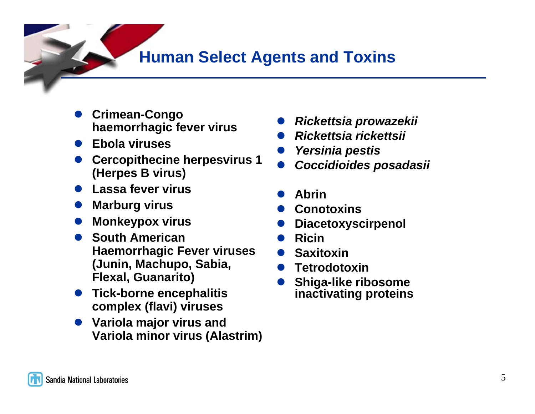### **Human Select Agents and Toxins**

- $\bullet$  **Crimean-Congo haemorrhagic fever virus**
- $\bullet$ **Ebola viruses**
- $\bullet$  **Cercopithecine herpesvirus 1 (Herpes B virus)**
- **Lassa fever virus**
- $\bullet$ **Marburg virus**
- $\bullet$ **Monkeypox virus**
- $\bullet$  **South American Haemorrhagic Fever viruses (Junin, Machupo, Sabia, Flexal, Guanarito)**
- **Tick-borne encephalitis complex (flavi) viruses**
- **Variola major virus and Variola minor virus (Alastrim)**
- $\bullet$ *Rickettsia prowazekii*
- $\bullet$ *Rickettsia rickettsii*
- $\bullet$ *Yersinia pestis*
- $\bullet$ *Coccidioides posadasii*
- $\bullet$ **Abrin**
- $\bullet$ **Conotoxins**
- $\bullet$ **Diacetoxyscirpenol**
- $\bullet$ **Ricin**
- $\bullet$ **Saxitoxin**
- $\bullet$ **Tetrodotoxin**
- $\bullet$  **Shiga-like ribosome inactivating proteins**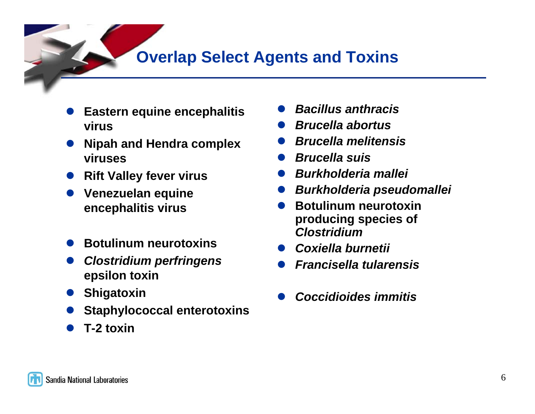### **Overlap Select Agents and Toxins**

- $\bullet$  **Eastern equine encephalitis virus**
- $\bullet$  **Nipah and Hendra complex viruses**
- **Rift Valley fever virus**
- $\bullet$  **Venezuelan equine encephalitis virus**
- $\bullet$ **Botulinum neurotoxins**
- $\bullet$  *Clostridium perfringens* **epsilon toxin**
- **•** Shigatoxin
- $\bullet$ **Staphylococcal enterotoxins**
- $\bullet$ **T-2 toxin**
- $\bullet$ *Bacillus anthracis*
- $\bullet$ *Brucella abortus*
- $\bullet$ *Brucella melitensis*
- $\bullet$ *Brucella suis*
- $\bullet$ *Burkholderia mallei*
- $\bullet$ *Burkholderia pseudomallei*
- $\bullet$  **Botulinum neurotoxin producing species of**  *Clostridium*
- $\bullet$ *Coxiella burnetii*
- $\bullet$ *Francisella tularensis*
- $\bullet$ *Coccidioides immitis*

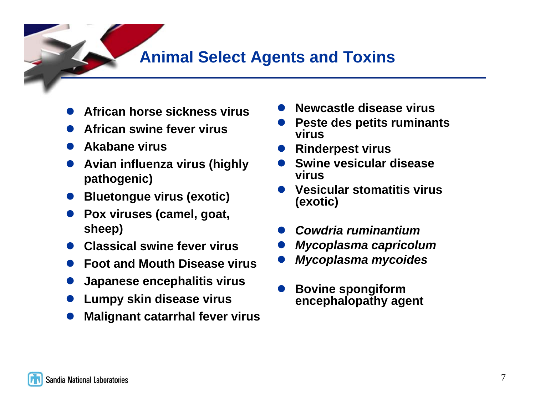### **Animal Select Agents and Toxins**

- $\bullet$ **African horse sickness virus**
- $\bullet$ **African swine fever virus**
- $\bullet$ **Akabane virus**
- $\bullet$  **Avian influenza virus (highly pathogenic)**
- $\bullet$ **Bluetongue virus (exotic)**
- **Pox viruses (camel, goat, sheep)**
- $\bullet$ **Classical swine fever virus**
- $\bullet$ **Foot and Mouth Disease virus**
- $\bullet$ **Japanese encephalitis virus**
- $\bullet$ **Lumpy skin disease virus**
- $\bullet$ **Malignant catarrhal fever virus**
- $\bullet$ **Newcastle disease virus**
- **Peste des petits ruminants virus**
- **Rinderpest virus**
- $\bullet$  **Swine vesicular disease virus**
- $\bullet$  **Vesicular stomatitis virus (exotic)**
- $\bullet$ *Cowdria ruminantium*
- $\bullet$ *Mycoplasma capricolum*
- $\bullet$ *Mycoplasma mycoides*
- $\bullet$  **Bovine spongiform encephalopathy agent**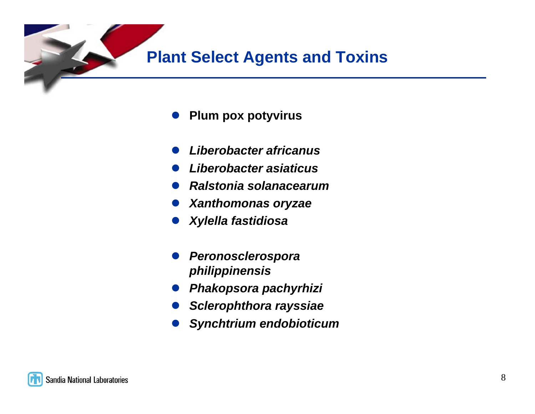

- $\bullet$ **Plum pox potyvirus**
- $\bullet$ *Liberobacter africanus*
- $\bullet$ *Liberobacter asiaticus*
- $\bullet$ *Ralstonia solanacearum*
- $\bullet$ *Xanthomonas oryzae*
- $\bullet$ *Xylella fastidiosa*
- $\bullet$  *Peronosclerospora philippinensis*
- $\bullet$ *Phakopsora pachyrhizi*
- $\bullet$ *Sclerophthora rayssiae*
- $\bullet$ *Synchtrium endobioticum*

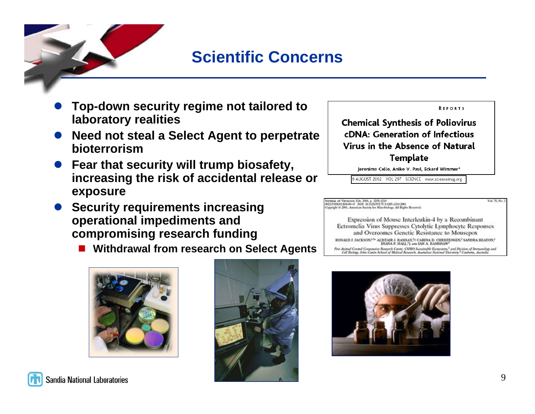

# **Scientific Concerns**

- $\bullet$  **Top-down security regime not tailored to laboratory realities**
- $\bullet$  **Need not steal a Select Agent to perpetrate bioterrorism**
- **Fear that security will trump biosafety, increasing the risk of accidental release or exposure**
- **Security requirements increasing operational impediments and compromising research funding**
	- **Withdrawal from research on Select Agents**





**REPORTS** 

**Chemical Synthesis of Poliovirus cDNA: Generation of Infectious** Virus in the Absence of Natural **Template** 

Jeronimo Cello, Aniko V. Paul, Eckard Wimmer\*

9 AUGUST 2002 VOL 297 SCIENCE www.sciencemag.org

#### мима от Vinotnon, Feb. 2001, р. 1205-1210<br>02:530000:104.01+0 = DOE 10.1128.Pd 75.3.1285-1210.2001<br>oppight © 2001, American Society for Microbiology, All Rights Reserved.

Expression of Mouse Interleukin-4 by a Recombinant Ectromelia Virus Suppresses Cytolytic Lymphocyte Responses and Overcomes Genetic Resistance to Mousepox  $\texttt{RONALD}$ I. IACKSON $^{13}$ ALISTAIR I. RAMSAY. $^{3})$ CARINA D. CHRISTENSEN, SANDRA BEATON, DUNA F. HALL, $^{3}$ aus IAN A. RAMSHAW $^{3}$ Pest Asimal Costed Cooperative Research Centre, CSIRO Sustainable Econosems.<sup>1</sup> and Division of Immunology and<br>Cell Rickop, John Cartin School of Medical Research, Australian National University.<sup>2</sup> Canberra, Australia





Mal. 76, No. 3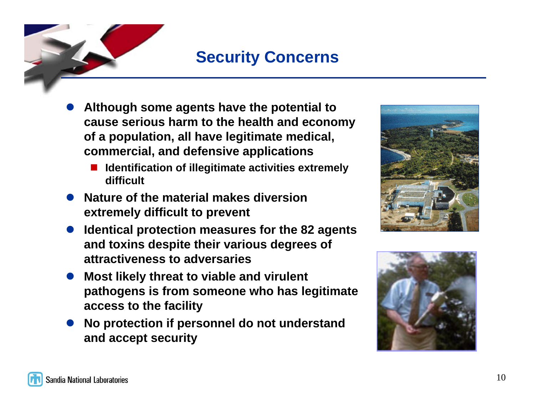### **Security Concerns**

- $\bullet$  **Although some agents have the potential to cause serious harm to the health and economy of a population, all have legitimate medical, commercial, and defensive applications**
	- L. **Identification of illegitimate activities extremely difficult**
- **Nature of the material makes diversion extremely difficult to prevent**
- **Identical protection measures for the 82 agents and toxins despite their various degrees of attractiveness to adversaries**
- $\bullet$  **Most likely threat to viable and virulent pathogens is from someone who has legitimate access to the facility**
- $\bullet$  **No protection if personnel do not understand and accept security**



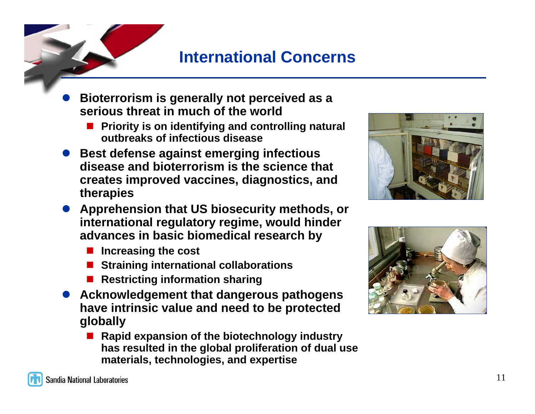### **International Concerns**

- $\bullet$  **Bioterrorism is generally not perceived as a serious threat in much of the world**
	- **Priority is on identifying and controlling natural outbreaks of infectious disease**
- **Best defense against emerging infectious disease and bioterrorism is the science that creates improved vaccines, diagnostics, and therapies**
- **Apprehension that US biosecurity methods, or international regulatory regime, would hinder advances in basic biomedical research by**
	- **Increasing the cost**
	- **Straining international collaborations**
	- **Restricting information sharing**
- **Acknowledgement that dangerous pathogens have intrinsic value and need to be protected globally**
	- $\overline{\phantom{a}}$  **Rapid expansion of the biotechnology industry has resulted in the global proliferation of dual use materials, technologies, and expertise**



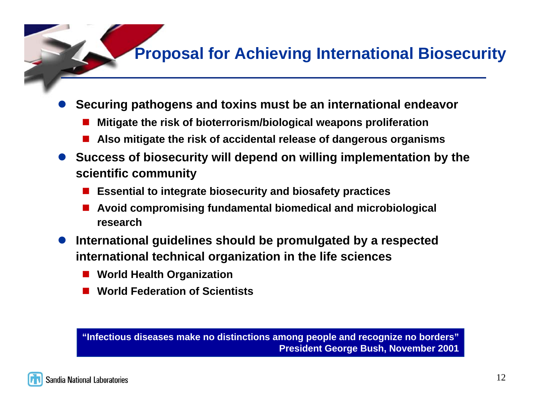# **Proposal for Achieving International Biosecurity**

- $\bullet$  **Securing pathogens and toxins must be an international endeavor** 
	- L. **Mitigate the risk of bioterrorism/biological weapons proliferation**
	- $\overline{\phantom{a}}$ **Also mitigate the risk of accidental release of dangerous organisms**
- **Success of biosecurity will depend on willing implementation by the scientific community** 
	- $\overline{\phantom{a}}$ **Essential to integrate biosecurity and biosafety practices**
	- $\overline{\phantom{a}}$  **Avoid compromising fundamental biomedical and microbiological research**
- $\bullet$  **International guidelines should be promulgated by a respected international technical organization in the life sciences** 
	- $\overline{\phantom{a}}$ **World Health Organization**
	- $\overline{\phantom{a}}$ **World Federation of Scientists**

**"Infectious diseases make no distinctions among people and recognize no borders" President George Bush, November 2001**

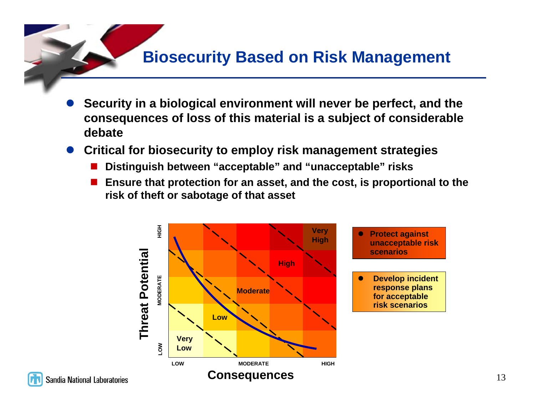### **Biosecurity Based on Risk Management**

- $\bullet$  **Security in a biological environment will never be perfect, and the consequences of loss of this material is a subject of considerable debate**
- **Critical for biosecurity to employ risk management strategies** 
	- $\overline{\phantom{a}}$ **Distinguish between "acceptable" and "unacceptable" risks**
	- $\overline{\phantom{a}}$  **Ensure that protection for an asset, and the cost, is proportional to the risk of theft or sabotage of that asset**

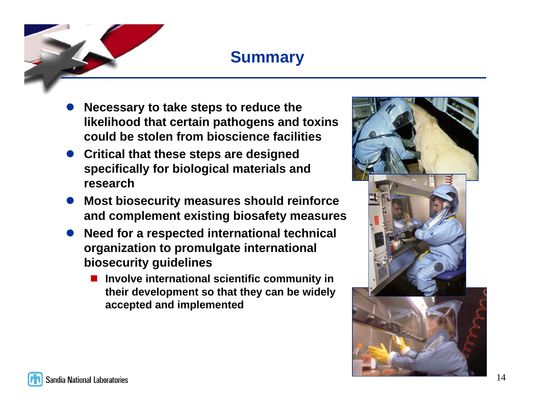

# **Summary**

- $\bullet$  **Necessary to take steps to reduce the likelihood that certain pathogens and toxins could be stolen from bioscience facilities**
- **Critical that these steps are designed specifically for biological materials and research**
- **Most biosecurity measures should reinforce and complement existing biosafety measures**
- $\bullet$  **Need for a respected international technical organization to promulgate international biosecurity guidelines**
	- $\overline{\phantom{a}}$  **Involve international scientific community in their development so that they can be widely accepted and implemented**